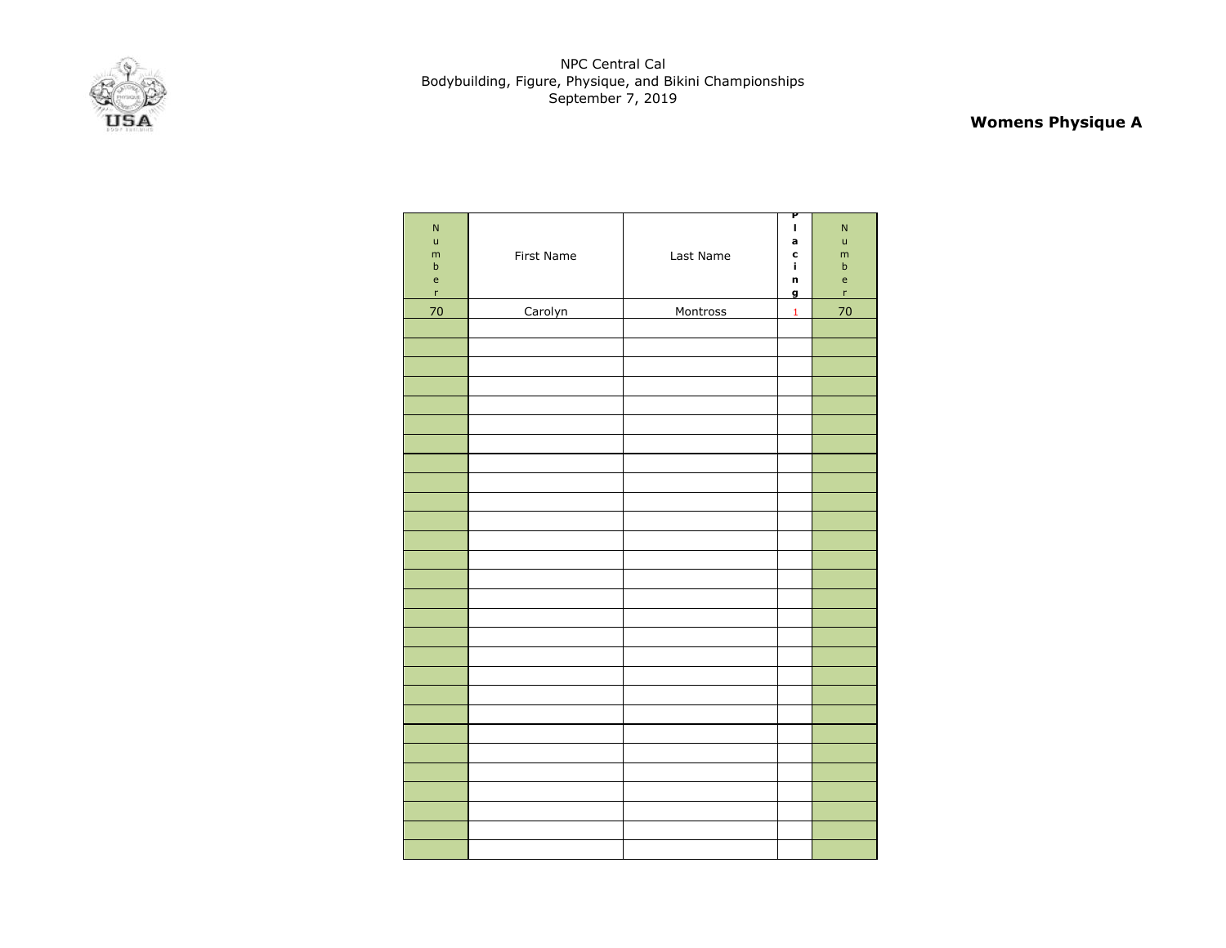

# **Womens Physique A**

| ${\sf N}$<br>$\mathsf{u}$<br>m<br>$\sf b$<br>$\mathsf{e}% _{0}\left( \mathsf{e}_{0}\right)$<br>$\mathsf{r}$ | First Name | Last Name | P<br>$\mathbf{I}$<br>a<br>c<br>j.<br>n<br>$\mathbf{g}$ | $\mathsf{N}$<br>ū<br>m<br>$\sf b$<br>$\mathsf{e}$<br>'n |
|-------------------------------------------------------------------------------------------------------------|------------|-----------|--------------------------------------------------------|---------------------------------------------------------|
| 70                                                                                                          | Carolyn    | Montross  | $\mathbf 1$                                            | 70                                                      |
|                                                                                                             |            |           |                                                        |                                                         |
|                                                                                                             |            |           |                                                        |                                                         |
|                                                                                                             |            |           |                                                        |                                                         |
|                                                                                                             |            |           |                                                        |                                                         |
|                                                                                                             |            |           |                                                        |                                                         |
|                                                                                                             |            |           |                                                        |                                                         |
|                                                                                                             |            |           |                                                        |                                                         |
|                                                                                                             |            |           |                                                        |                                                         |
|                                                                                                             |            |           |                                                        |                                                         |
|                                                                                                             |            |           |                                                        |                                                         |
|                                                                                                             |            |           |                                                        |                                                         |
|                                                                                                             |            |           |                                                        |                                                         |
|                                                                                                             |            |           |                                                        |                                                         |
|                                                                                                             |            |           |                                                        |                                                         |
|                                                                                                             |            |           |                                                        |                                                         |
|                                                                                                             |            |           |                                                        |                                                         |
|                                                                                                             |            |           |                                                        |                                                         |
|                                                                                                             |            |           |                                                        |                                                         |
|                                                                                                             |            |           |                                                        |                                                         |
|                                                                                                             |            |           |                                                        |                                                         |
|                                                                                                             |            |           |                                                        |                                                         |
|                                                                                                             |            |           |                                                        |                                                         |
|                                                                                                             |            |           |                                                        |                                                         |
|                                                                                                             |            |           |                                                        |                                                         |
|                                                                                                             |            |           |                                                        |                                                         |
|                                                                                                             |            |           |                                                        |                                                         |
|                                                                                                             |            |           |                                                        |                                                         |
|                                                                                                             |            |           |                                                        |                                                         |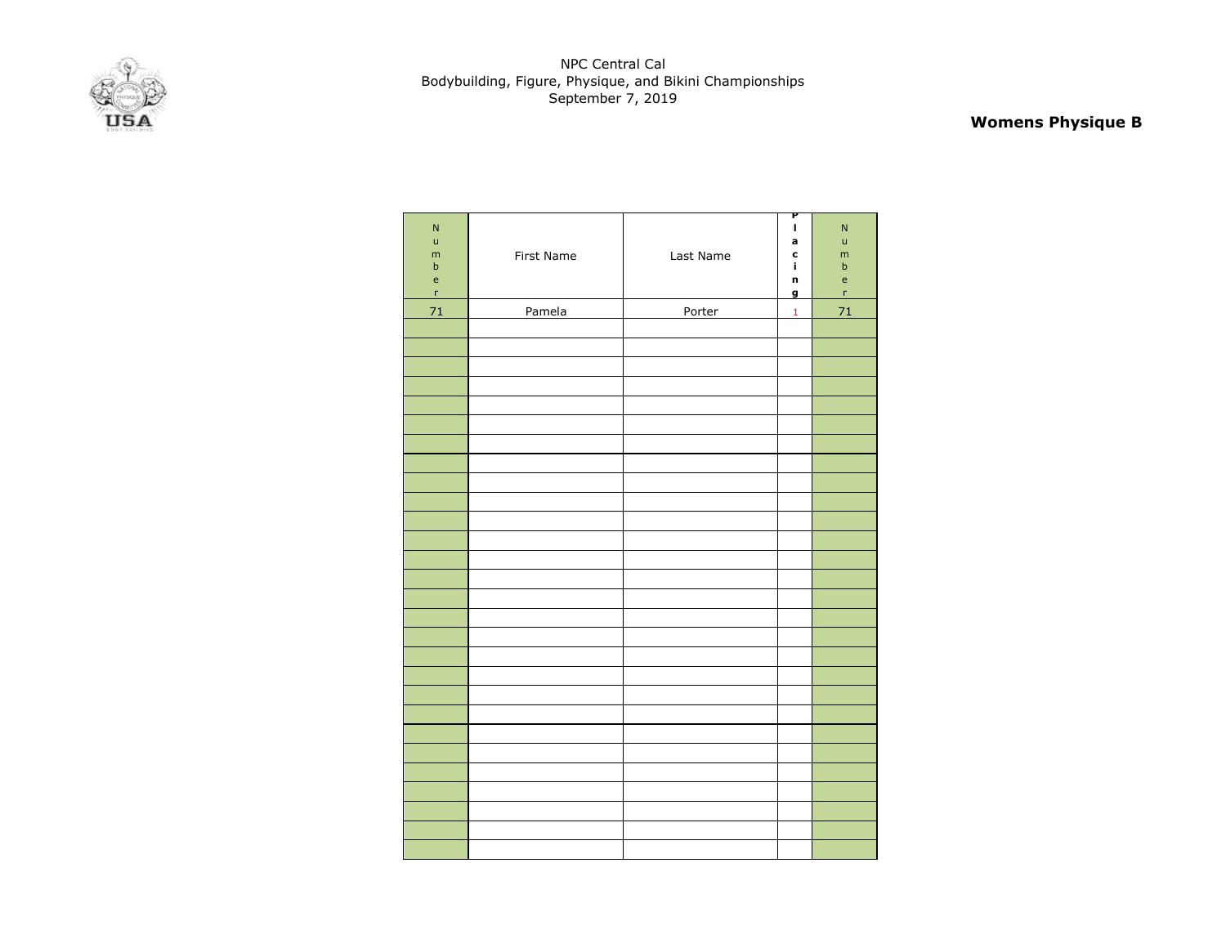

# **Womens Physique B**

| ${\sf N}$<br>$\mathsf{u}$<br>m<br>$\sf b$<br>$\mathsf{e}% _{0}\left( \mathsf{e}_{0}\right)$<br>$\mathsf{r}$ | First Name | Last Name | P<br>I<br>a<br>$\mathbf c$<br>i,<br>n<br>$\overline{g}$ | $\mathsf{N}$<br>ū<br>m<br>$\sf b$<br>$\mathsf{e}$<br>'n |
|-------------------------------------------------------------------------------------------------------------|------------|-----------|---------------------------------------------------------|---------------------------------------------------------|
| 71                                                                                                          | Pamela     | Porter    | $\mathbf{1}$                                            | 71                                                      |
|                                                                                                             |            |           |                                                         |                                                         |
|                                                                                                             |            |           |                                                         |                                                         |
|                                                                                                             |            |           |                                                         |                                                         |
|                                                                                                             |            |           |                                                         |                                                         |
|                                                                                                             |            |           |                                                         |                                                         |
|                                                                                                             |            |           |                                                         |                                                         |
|                                                                                                             |            |           |                                                         |                                                         |
|                                                                                                             |            |           |                                                         |                                                         |
|                                                                                                             |            |           |                                                         |                                                         |
|                                                                                                             |            |           |                                                         |                                                         |
|                                                                                                             |            |           |                                                         |                                                         |
|                                                                                                             |            |           |                                                         |                                                         |
|                                                                                                             |            |           |                                                         |                                                         |
|                                                                                                             |            |           |                                                         |                                                         |
|                                                                                                             |            |           |                                                         |                                                         |
|                                                                                                             |            |           |                                                         |                                                         |
|                                                                                                             |            |           |                                                         |                                                         |
|                                                                                                             |            |           |                                                         |                                                         |
|                                                                                                             |            |           |                                                         |                                                         |
|                                                                                                             |            |           |                                                         |                                                         |
|                                                                                                             |            |           |                                                         |                                                         |
|                                                                                                             |            |           |                                                         |                                                         |
|                                                                                                             |            |           |                                                         |                                                         |
|                                                                                                             |            |           |                                                         |                                                         |
|                                                                                                             |            |           |                                                         |                                                         |
|                                                                                                             |            |           |                                                         |                                                         |
|                                                                                                             |            |           |                                                         |                                                         |
|                                                                                                             |            |           |                                                         |                                                         |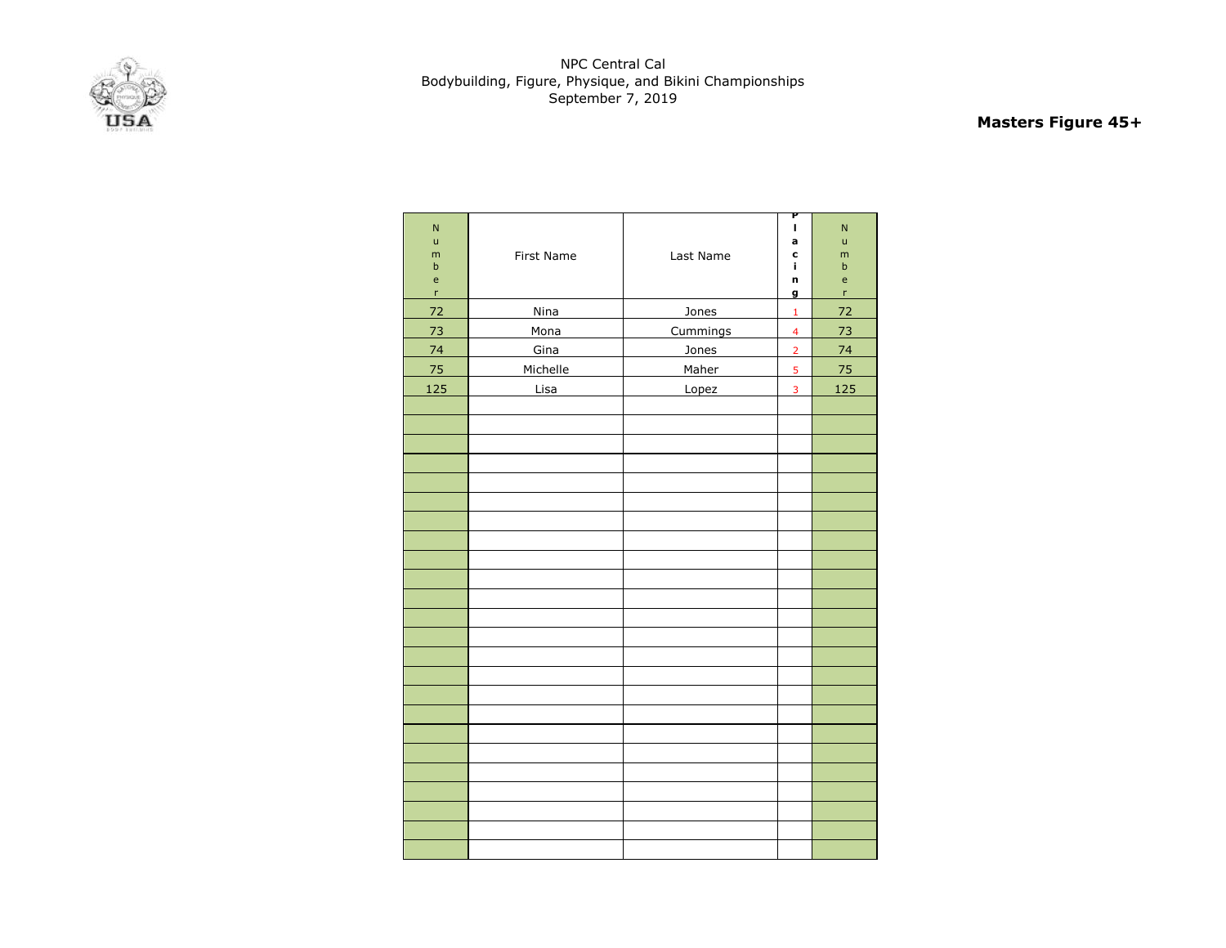

# **Masters Figure 45+**

| $\overline{\mathsf{N}}$<br>ū<br>m<br>$\mathbf b$<br>e<br>$\mathsf{r}$ | First Name | Last Name | P<br>I<br>a<br>C<br>i,<br>n<br>g | N<br>ū<br>m<br>$\mathbf b$<br>e<br>r |
|-----------------------------------------------------------------------|------------|-----------|----------------------------------|--------------------------------------|
| 72                                                                    | Nina       | Jones     | $\mathbf 1$                      | 72                                   |
| 73                                                                    | Mona       | Cummings  | $\overline{\mathbf{4}}$          | 73                                   |
| 74                                                                    | Gina       | Jones     | $\overline{2}$                   | 74                                   |
| 75                                                                    | Michelle   | Maher     | 5                                | 75                                   |
| 125                                                                   | Lisa       | Lopez     | $\overline{\mathbf{3}}$          | 125                                  |
|                                                                       |            |           |                                  |                                      |
|                                                                       |            |           |                                  |                                      |
|                                                                       |            |           |                                  |                                      |
|                                                                       |            |           |                                  |                                      |
|                                                                       |            |           |                                  |                                      |
|                                                                       |            |           |                                  |                                      |
|                                                                       |            |           |                                  |                                      |
|                                                                       |            |           |                                  |                                      |
|                                                                       |            |           |                                  |                                      |
|                                                                       |            |           |                                  |                                      |
|                                                                       |            |           |                                  |                                      |
|                                                                       |            |           |                                  |                                      |
|                                                                       |            |           |                                  |                                      |
|                                                                       |            |           |                                  |                                      |
|                                                                       |            |           |                                  |                                      |
|                                                                       |            |           |                                  |                                      |
|                                                                       |            |           |                                  |                                      |
|                                                                       |            |           |                                  |                                      |
|                                                                       |            |           |                                  |                                      |
|                                                                       |            |           |                                  |                                      |
|                                                                       |            |           |                                  |                                      |
|                                                                       |            |           |                                  |                                      |
|                                                                       |            |           |                                  |                                      |
|                                                                       |            |           |                                  |                                      |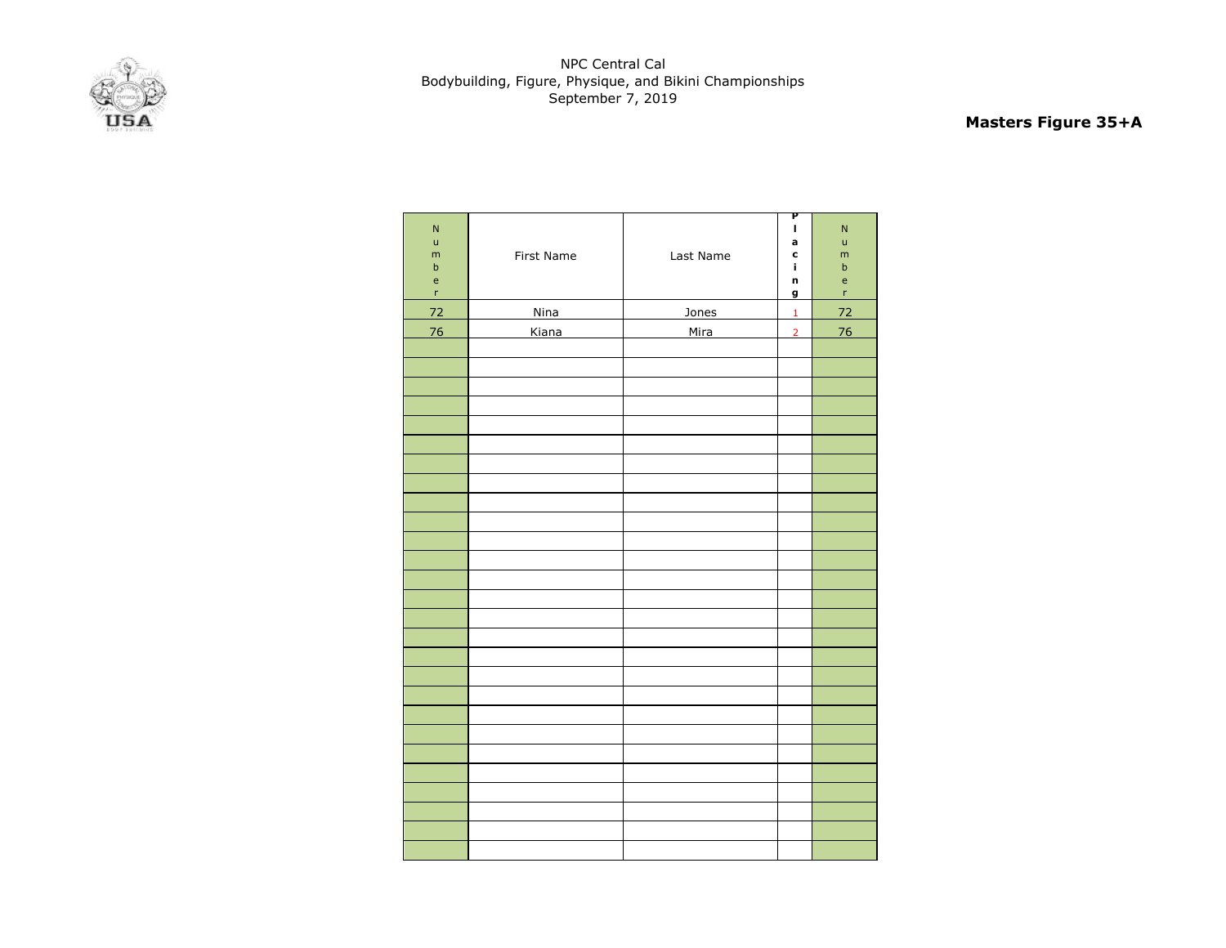

# **Masters Figure 35+A**

| $\overline{\mathsf{N}}$<br>$\mathsf{u}%$<br>${\sf m}$<br>$\sf b$<br>$\mathsf{e}% _{0}\left( \mathsf{e}\right)$<br>$\mathsf{r}$ | First Name  | Last Name | P<br>I<br>a<br>C<br>í.<br>n<br>g | $\overline{\mathsf{N}}$<br>$\mathsf{u}%$<br>m<br>$\sf b$<br>$\mathsf{e}% _{0}\left( \mathsf{e}_{0}\right)$<br>$\bar{\mathbf{r}}$ |
|--------------------------------------------------------------------------------------------------------------------------------|-------------|-----------|----------------------------------|----------------------------------------------------------------------------------------------------------------------------------|
| 72                                                                                                                             | <b>Nina</b> | Jones     | $\mathbf 1$                      | 72                                                                                                                               |
| 76                                                                                                                             | Kiana       | Mira      | $\overline{2}$                   | 76                                                                                                                               |
|                                                                                                                                |             |           |                                  |                                                                                                                                  |
|                                                                                                                                |             |           |                                  |                                                                                                                                  |
|                                                                                                                                |             |           |                                  |                                                                                                                                  |
|                                                                                                                                |             |           |                                  |                                                                                                                                  |
|                                                                                                                                |             |           |                                  |                                                                                                                                  |
|                                                                                                                                |             |           |                                  |                                                                                                                                  |
|                                                                                                                                |             |           |                                  |                                                                                                                                  |
|                                                                                                                                |             |           |                                  |                                                                                                                                  |
|                                                                                                                                |             |           |                                  |                                                                                                                                  |
|                                                                                                                                |             |           |                                  |                                                                                                                                  |
|                                                                                                                                |             |           |                                  |                                                                                                                                  |
|                                                                                                                                |             |           |                                  |                                                                                                                                  |
|                                                                                                                                |             |           |                                  |                                                                                                                                  |
|                                                                                                                                |             |           |                                  |                                                                                                                                  |
|                                                                                                                                |             |           |                                  |                                                                                                                                  |
|                                                                                                                                |             |           |                                  |                                                                                                                                  |
|                                                                                                                                |             |           |                                  |                                                                                                                                  |
|                                                                                                                                |             |           |                                  |                                                                                                                                  |
|                                                                                                                                |             |           |                                  |                                                                                                                                  |
|                                                                                                                                |             |           |                                  |                                                                                                                                  |
|                                                                                                                                |             |           |                                  |                                                                                                                                  |
|                                                                                                                                |             |           |                                  |                                                                                                                                  |
|                                                                                                                                |             |           |                                  |                                                                                                                                  |
|                                                                                                                                |             |           |                                  |                                                                                                                                  |
|                                                                                                                                |             |           |                                  |                                                                                                                                  |
|                                                                                                                                |             |           |                                  |                                                                                                                                  |
|                                                                                                                                |             |           |                                  |                                                                                                                                  |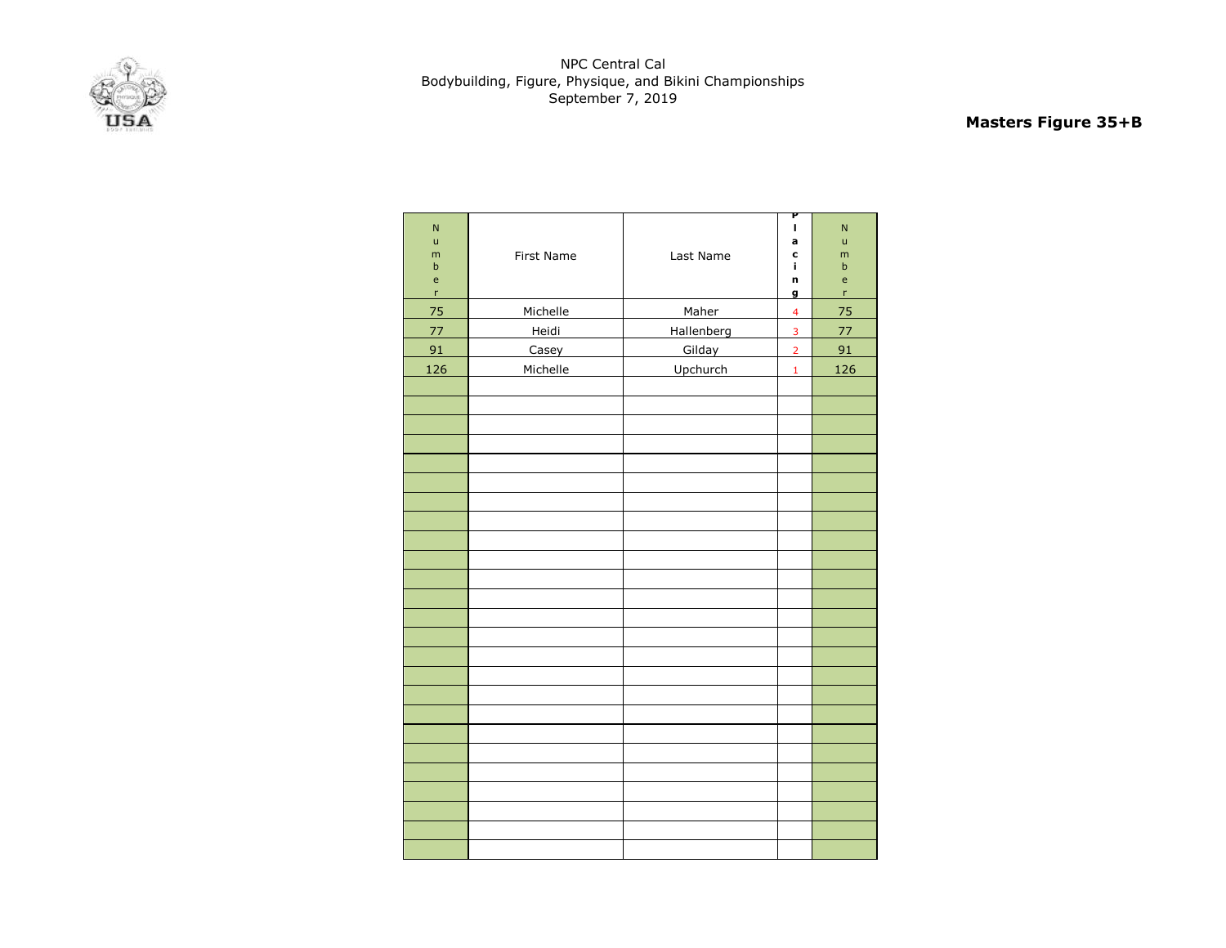

# **Masters Figure 35+B**

| $\overline{\mathsf{N}}$<br>ū<br>m<br>$\mathsf b$<br>e<br>$\mathsf{r}$ | First Name | Last Name  | P<br>ı<br>a<br>C<br>j,<br>n<br>g | N<br>ū<br>m<br>b<br>e<br>r |
|-----------------------------------------------------------------------|------------|------------|----------------------------------|----------------------------|
| 75                                                                    | Michelle   | Maher      | $\overline{\mathbf{4}}$          | 75                         |
| 77                                                                    | Heidi      | Hallenberg | 3                                | 77                         |
| 91                                                                    | Casey      | Gilday     | $\overline{2}$                   | 91                         |
| 126                                                                   | Michelle   | Upchurch   | $\mathbf 1$                      | 126                        |
|                                                                       |            |            |                                  |                            |
|                                                                       |            |            |                                  |                            |
|                                                                       |            |            |                                  |                            |
|                                                                       |            |            |                                  |                            |
|                                                                       |            |            |                                  |                            |
|                                                                       |            |            |                                  |                            |
|                                                                       |            |            |                                  |                            |
|                                                                       |            |            |                                  |                            |
|                                                                       |            |            |                                  |                            |
|                                                                       |            |            |                                  |                            |
|                                                                       |            |            |                                  |                            |
|                                                                       |            |            |                                  |                            |
|                                                                       |            |            |                                  |                            |
|                                                                       |            |            |                                  |                            |
|                                                                       |            |            |                                  |                            |
|                                                                       |            |            |                                  |                            |
|                                                                       |            |            |                                  |                            |
|                                                                       |            |            |                                  |                            |
|                                                                       |            |            |                                  |                            |
|                                                                       |            |            |                                  |                            |
|                                                                       |            |            |                                  |                            |
|                                                                       |            |            |                                  |                            |
|                                                                       |            |            |                                  |                            |
|                                                                       |            |            |                                  |                            |
|                                                                       |            |            |                                  |                            |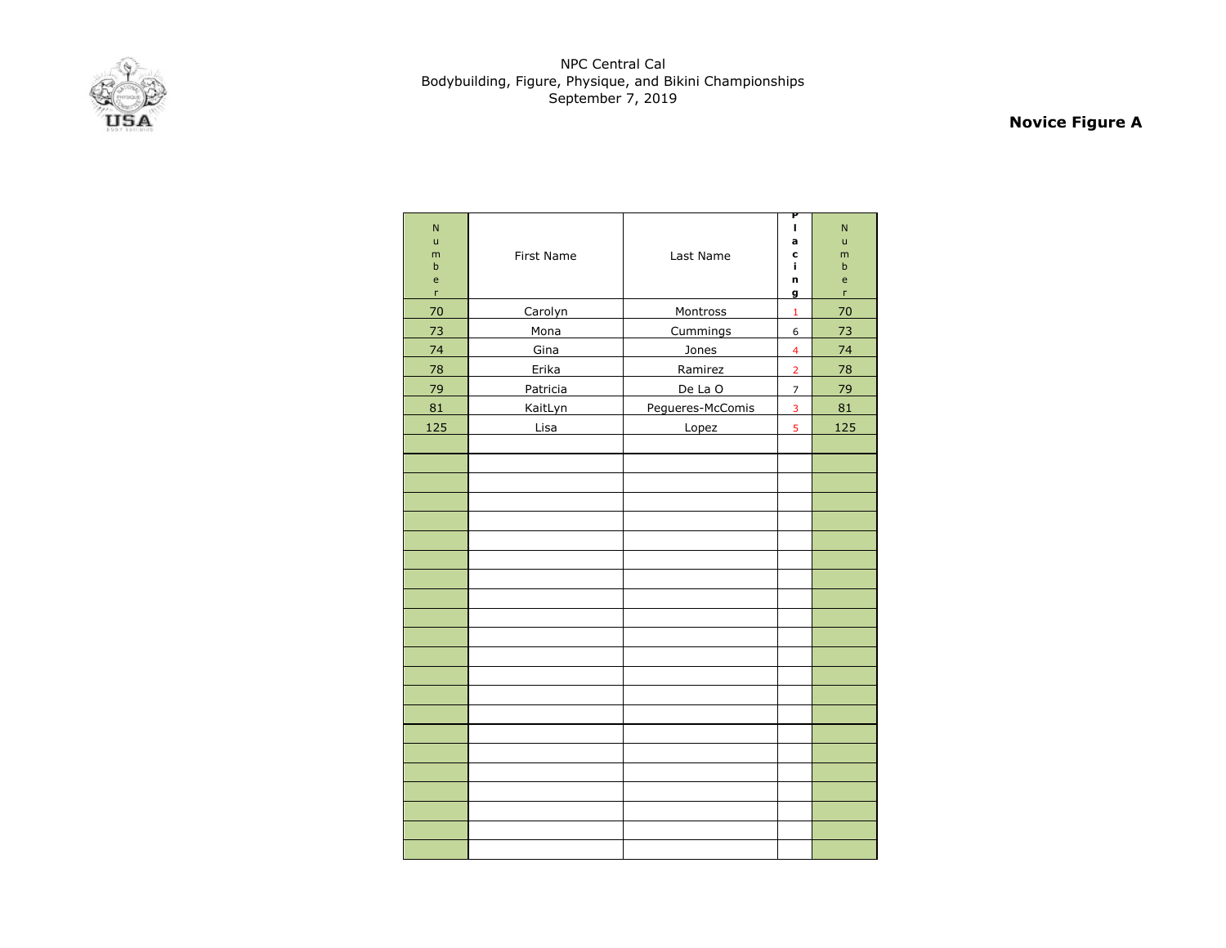

# **Novice Figure A**

| $\overline{N}$<br>ū<br>m<br>$\sf b$<br>e<br>$\mathsf{r}$ | First Name | Last Name        | P<br>$\mathbf{I}$<br>a<br>C<br>i,<br>n<br>g | N<br>ū<br>m<br>b<br>e<br>r |
|----------------------------------------------------------|------------|------------------|---------------------------------------------|----------------------------|
| 70                                                       | Carolyn    | Montross         | $\mathbf 1$                                 | 70                         |
| 73                                                       | Mona       | Cummings         | 6                                           | 73                         |
| 74                                                       | Gina       | Jones            | $\overline{4}$                              | 74                         |
| 78                                                       | Erika      | Ramirez          | $\overline{2}$                              | 78                         |
| 79                                                       | Patricia   | De La O          | $\overline{7}$                              | 79                         |
| 81                                                       | KaitLyn    | Pegueres-McComis | $\overline{3}$                              | 81                         |
| 125                                                      | Lisa       | Lopez            | 5                                           | 125                        |
|                                                          |            |                  |                                             |                            |
|                                                          |            |                  |                                             |                            |
|                                                          |            |                  |                                             |                            |
|                                                          |            |                  |                                             |                            |
|                                                          |            |                  |                                             |                            |
|                                                          |            |                  |                                             |                            |
|                                                          |            |                  |                                             |                            |
|                                                          |            |                  |                                             |                            |
|                                                          |            |                  |                                             |                            |
|                                                          |            |                  |                                             |                            |
|                                                          |            |                  |                                             |                            |
|                                                          |            |                  |                                             |                            |
|                                                          |            |                  |                                             |                            |
|                                                          |            |                  |                                             |                            |
|                                                          |            |                  |                                             |                            |
|                                                          |            |                  |                                             |                            |
|                                                          |            |                  |                                             |                            |
|                                                          |            |                  |                                             |                            |
|                                                          |            |                  |                                             |                            |
|                                                          |            |                  |                                             |                            |
|                                                          |            |                  |                                             |                            |
|                                                          |            |                  |                                             |                            |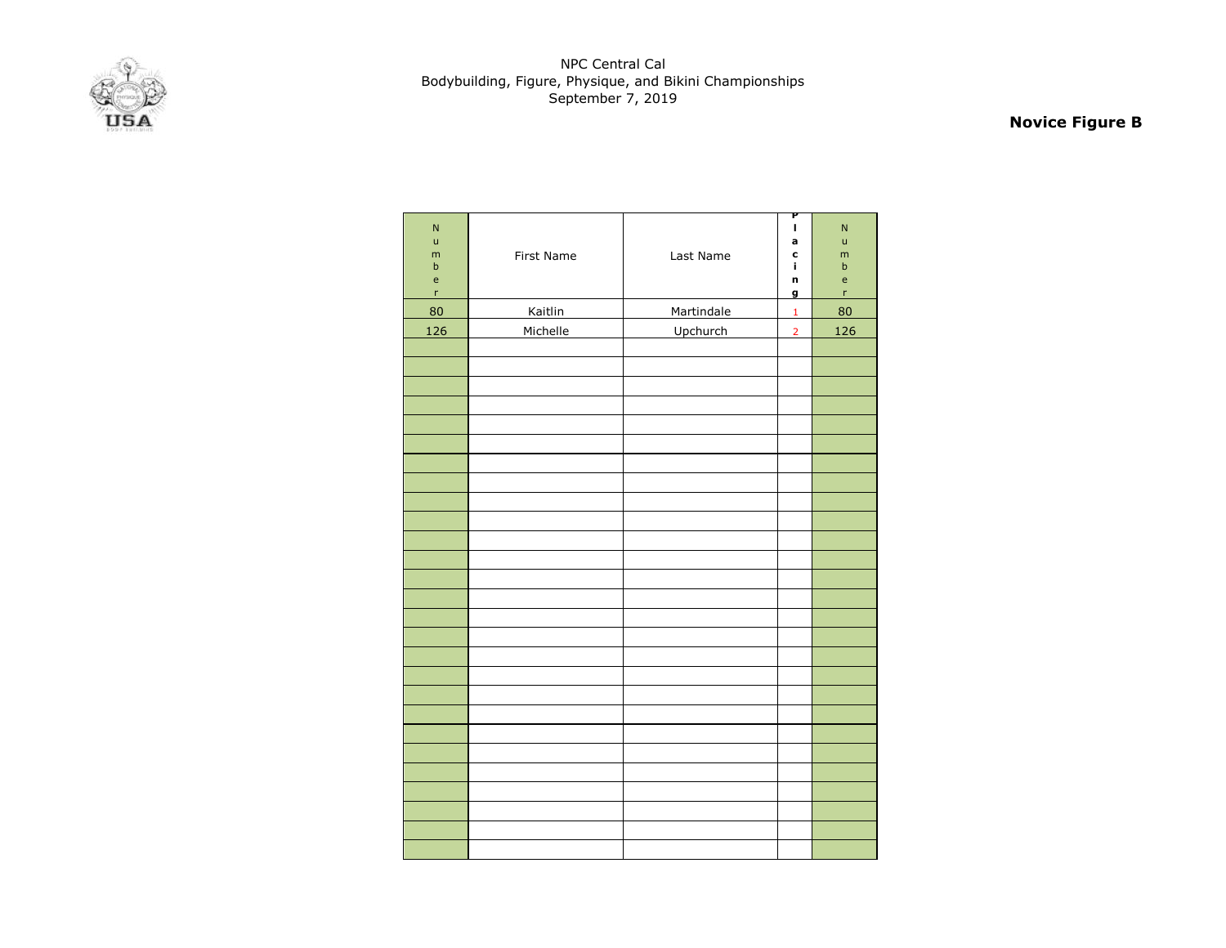

# **Novice Figure B**

| $\mathsf{N}$<br>$\mathsf{u}$<br>m<br>$\sf b$<br>$\mathsf{e}% _{0}\left( \mathsf{e}_{0}\right)$<br>$\bar{\mathbf{r}}$ | First Name | Last Name  | P<br>I<br>a<br>c<br>î.<br>n<br>g | $\mathsf{N}$<br>$\mathsf{u}$<br>m<br>$\sf b$<br>$\mathsf{e}$<br>r |
|----------------------------------------------------------------------------------------------------------------------|------------|------------|----------------------------------|-------------------------------------------------------------------|
| 80                                                                                                                   | Kaitlin    | Martindale | $\mathbf{1}$                     | 80                                                                |
| 126                                                                                                                  | Michelle   | Upchurch   | $\overline{2}$                   | 126                                                               |
|                                                                                                                      |            |            |                                  |                                                                   |
|                                                                                                                      |            |            |                                  |                                                                   |
|                                                                                                                      |            |            |                                  |                                                                   |
|                                                                                                                      |            |            |                                  |                                                                   |
|                                                                                                                      |            |            |                                  |                                                                   |
|                                                                                                                      |            |            |                                  |                                                                   |
|                                                                                                                      |            |            |                                  |                                                                   |
|                                                                                                                      |            |            |                                  |                                                                   |
|                                                                                                                      |            |            |                                  |                                                                   |
|                                                                                                                      |            |            |                                  |                                                                   |
|                                                                                                                      |            |            |                                  |                                                                   |
|                                                                                                                      |            |            |                                  |                                                                   |
|                                                                                                                      |            |            |                                  |                                                                   |
|                                                                                                                      |            |            |                                  |                                                                   |
|                                                                                                                      |            |            |                                  |                                                                   |
|                                                                                                                      |            |            |                                  |                                                                   |
|                                                                                                                      |            |            |                                  |                                                                   |
|                                                                                                                      |            |            |                                  |                                                                   |
|                                                                                                                      |            |            |                                  |                                                                   |
|                                                                                                                      |            |            |                                  |                                                                   |
|                                                                                                                      |            |            |                                  |                                                                   |
|                                                                                                                      |            |            |                                  |                                                                   |
|                                                                                                                      |            |            |                                  |                                                                   |
|                                                                                                                      |            |            |                                  |                                                                   |
|                                                                                                                      |            |            |                                  |                                                                   |
|                                                                                                                      |            |            |                                  |                                                                   |
|                                                                                                                      |            |            |                                  |                                                                   |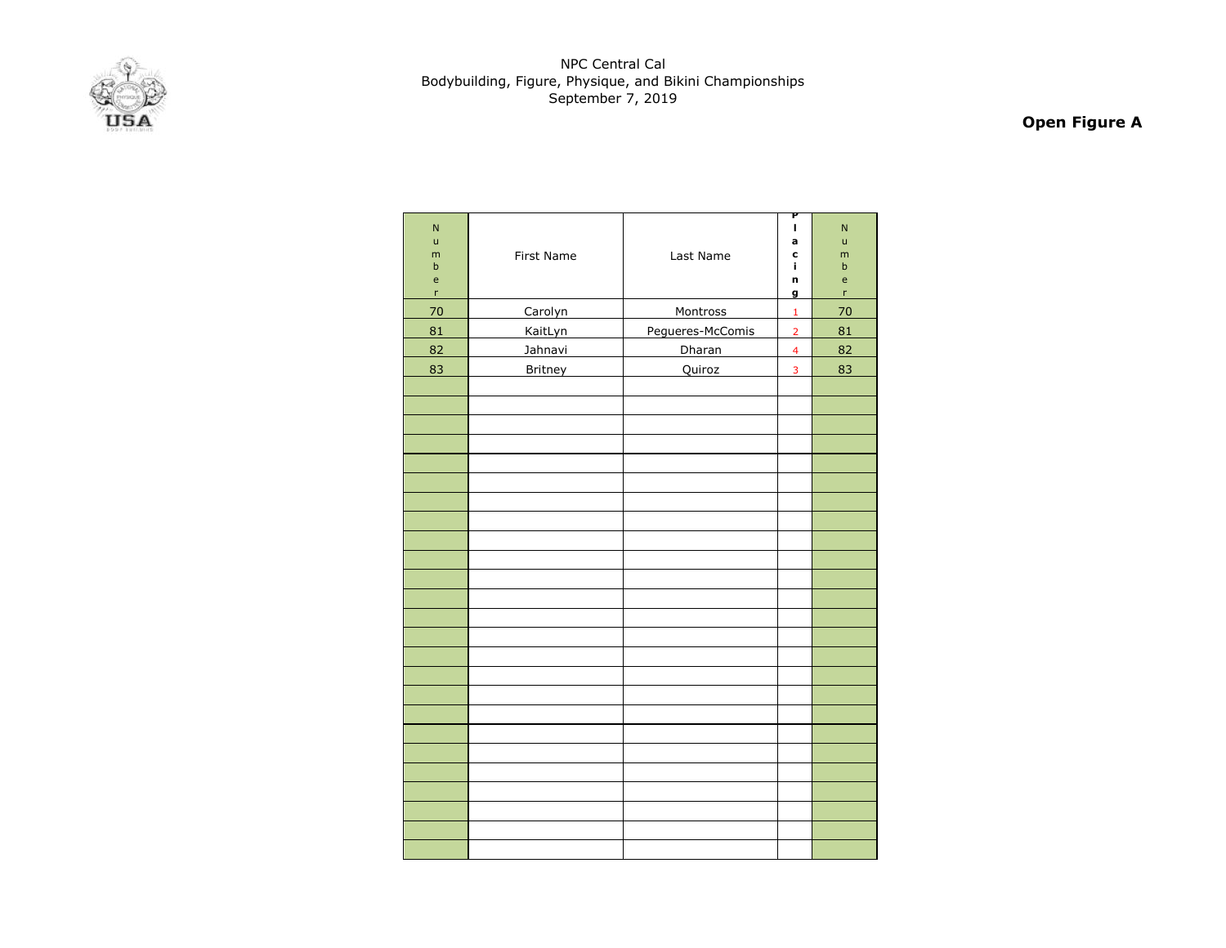

# **Open Figure A**

| $\overline{N}$<br>ū<br>m<br>$\sf b$<br>e<br>$\mathsf{r}$ | First Name     | Last Name        | P<br>I<br>a<br>C<br>j,<br>n<br>g | $\mathsf{N}$<br>ū<br>m<br>$\sf b$<br>e<br>'n |
|----------------------------------------------------------|----------------|------------------|----------------------------------|----------------------------------------------|
| 70                                                       | Carolyn        | Montross         | $\mathbf 1$                      | 70                                           |
| 81                                                       | KaitLyn        | Pegueres-McComis | $\overline{2}$                   | 81                                           |
| 82                                                       | Jahnavi        | Dharan           | $\overline{\mathbf{4}}$          | 82                                           |
| 83                                                       | <b>Britney</b> | Quiroz           | 3                                | 83                                           |
|                                                          |                |                  |                                  |                                              |
|                                                          |                |                  |                                  |                                              |
|                                                          |                |                  |                                  |                                              |
|                                                          |                |                  |                                  |                                              |
|                                                          |                |                  |                                  |                                              |
|                                                          |                |                  |                                  |                                              |
|                                                          |                |                  |                                  |                                              |
|                                                          |                |                  |                                  |                                              |
|                                                          |                |                  |                                  |                                              |
|                                                          |                |                  |                                  |                                              |
|                                                          |                |                  |                                  |                                              |
|                                                          |                |                  |                                  |                                              |
|                                                          |                |                  |                                  |                                              |
|                                                          |                |                  |                                  |                                              |
|                                                          |                |                  |                                  |                                              |
|                                                          |                |                  |                                  |                                              |
|                                                          |                |                  |                                  |                                              |
|                                                          |                |                  |                                  |                                              |
|                                                          |                |                  |                                  |                                              |
|                                                          |                |                  |                                  |                                              |
|                                                          |                |                  |                                  |                                              |
|                                                          |                |                  |                                  |                                              |
|                                                          |                |                  |                                  |                                              |
|                                                          |                |                  |                                  |                                              |
|                                                          |                |                  |                                  |                                              |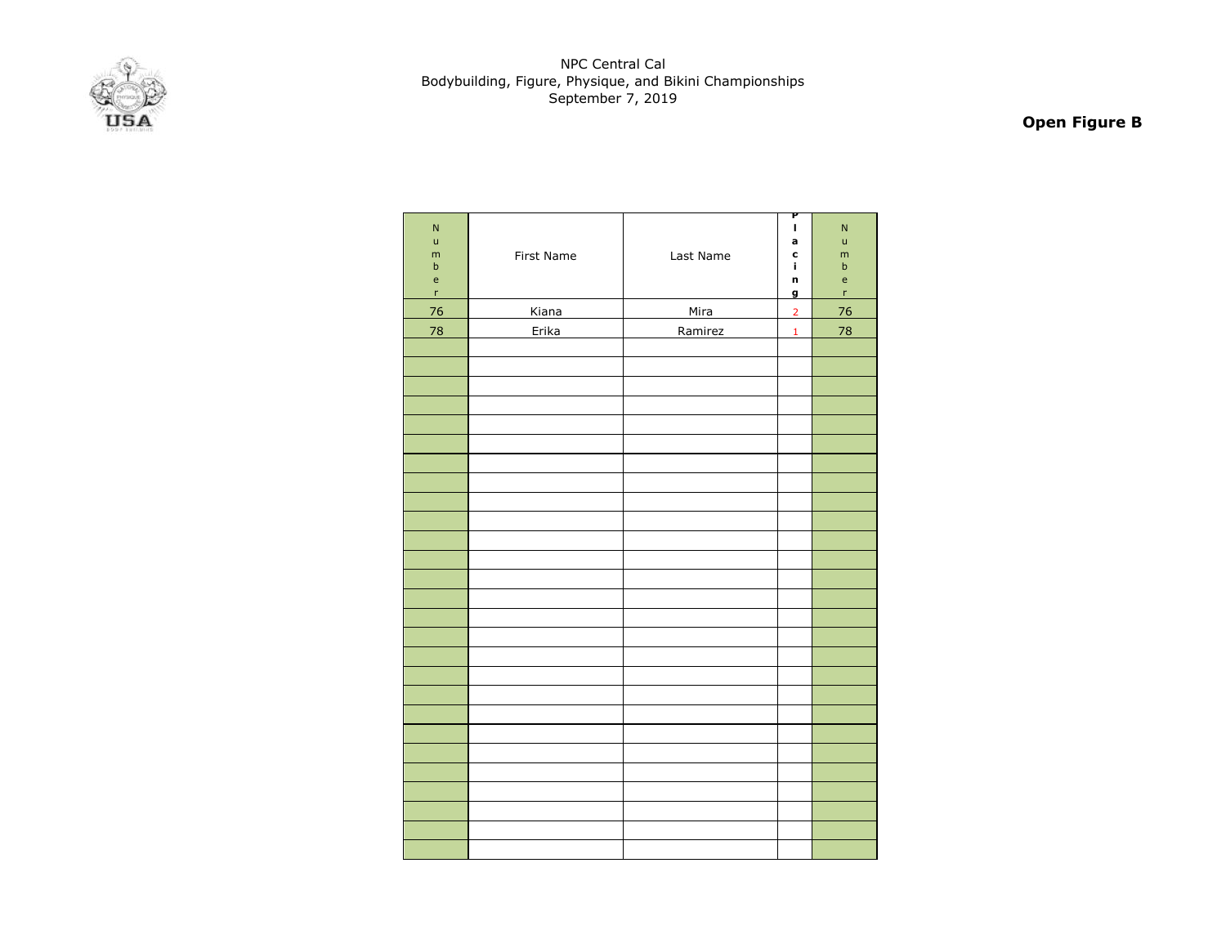

# **Open Figure B**

| $\mathsf{N}$<br>$\mathsf{u}%$<br>${\sf m}$<br>$\sf b$<br>$\mathsf{e}% _{0}\left( \mathsf{e}\right)$<br>$\mathsf{r}$ | First Name | Last Name | P<br>$\mathbf I$<br>a<br>c<br>í.<br>n<br>g | $\overline{\mathsf{N}}$<br>$\mathsf{u}%$<br>m<br>$\sf b$<br>$\mathsf{e}% _{0}\left( \mathsf{e}\right)$<br>$\bar{\mathbf{r}}$ |
|---------------------------------------------------------------------------------------------------------------------|------------|-----------|--------------------------------------------|------------------------------------------------------------------------------------------------------------------------------|
| 76                                                                                                                  | Kiana      | Mira      | $\overline{2}$                             | 76                                                                                                                           |
| 78                                                                                                                  | Erika      | Ramirez   | $\mathbf{1}$                               | 78                                                                                                                           |
|                                                                                                                     |            |           |                                            |                                                                                                                              |
|                                                                                                                     |            |           |                                            |                                                                                                                              |
|                                                                                                                     |            |           |                                            |                                                                                                                              |
|                                                                                                                     |            |           |                                            |                                                                                                                              |
|                                                                                                                     |            |           |                                            |                                                                                                                              |
|                                                                                                                     |            |           |                                            |                                                                                                                              |
|                                                                                                                     |            |           |                                            |                                                                                                                              |
|                                                                                                                     |            |           |                                            |                                                                                                                              |
|                                                                                                                     |            |           |                                            |                                                                                                                              |
|                                                                                                                     |            |           |                                            |                                                                                                                              |
|                                                                                                                     |            |           |                                            |                                                                                                                              |
|                                                                                                                     |            |           |                                            |                                                                                                                              |
|                                                                                                                     |            |           |                                            |                                                                                                                              |
|                                                                                                                     |            |           |                                            |                                                                                                                              |
|                                                                                                                     |            |           |                                            |                                                                                                                              |
|                                                                                                                     |            |           |                                            |                                                                                                                              |
|                                                                                                                     |            |           |                                            |                                                                                                                              |
|                                                                                                                     |            |           |                                            |                                                                                                                              |
|                                                                                                                     |            |           |                                            |                                                                                                                              |
|                                                                                                                     |            |           |                                            |                                                                                                                              |
|                                                                                                                     |            |           |                                            |                                                                                                                              |
|                                                                                                                     |            |           |                                            |                                                                                                                              |
|                                                                                                                     |            |           |                                            |                                                                                                                              |
|                                                                                                                     |            |           |                                            |                                                                                                                              |
|                                                                                                                     |            |           |                                            |                                                                                                                              |
|                                                                                                                     |            |           |                                            |                                                                                                                              |
|                                                                                                                     |            |           |                                            |                                                                                                                              |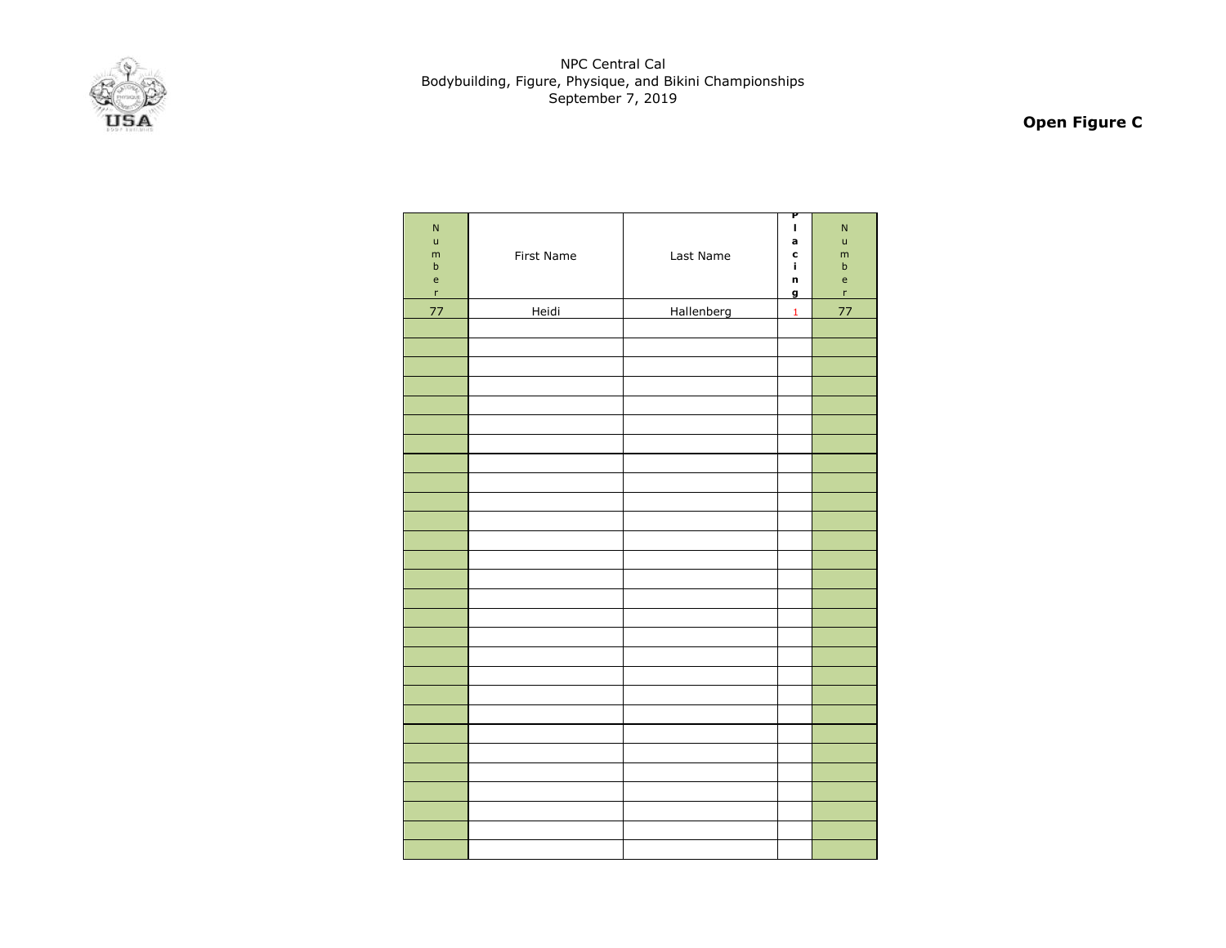

# **Open Figure C**

| $\mathsf{N}$<br>$\mathsf{u}%$<br>${\sf m}$<br>$\sf b$<br>$\mathsf{e}% _{0}\left( \mathsf{e}\right)$<br>$\mathsf{r}$ | First Name | Last Name  | P<br>I<br>a<br>c<br>í.<br>n<br>g | $\mathsf{N}$<br>ū<br>m<br>$\sf b$<br>e<br>$\mathsf{r}$ |
|---------------------------------------------------------------------------------------------------------------------|------------|------------|----------------------------------|--------------------------------------------------------|
| 77                                                                                                                  | Heidi      | Hallenberg | $\mathbf 1$                      | 77                                                     |
|                                                                                                                     |            |            |                                  |                                                        |
|                                                                                                                     |            |            |                                  |                                                        |
|                                                                                                                     |            |            |                                  |                                                        |
|                                                                                                                     |            |            |                                  |                                                        |
|                                                                                                                     |            |            |                                  |                                                        |
|                                                                                                                     |            |            |                                  |                                                        |
|                                                                                                                     |            |            |                                  |                                                        |
|                                                                                                                     |            |            |                                  |                                                        |
|                                                                                                                     |            |            |                                  |                                                        |
|                                                                                                                     |            |            |                                  |                                                        |
|                                                                                                                     |            |            |                                  |                                                        |
|                                                                                                                     |            |            |                                  |                                                        |
|                                                                                                                     |            |            |                                  |                                                        |
|                                                                                                                     |            |            |                                  |                                                        |
|                                                                                                                     |            |            |                                  |                                                        |
|                                                                                                                     |            |            |                                  |                                                        |
|                                                                                                                     |            |            |                                  |                                                        |
|                                                                                                                     |            |            |                                  |                                                        |
|                                                                                                                     |            |            |                                  |                                                        |
|                                                                                                                     |            |            |                                  |                                                        |
|                                                                                                                     |            |            |                                  |                                                        |
|                                                                                                                     |            |            |                                  |                                                        |
|                                                                                                                     |            |            |                                  |                                                        |
|                                                                                                                     |            |            |                                  |                                                        |
|                                                                                                                     |            |            |                                  |                                                        |
|                                                                                                                     |            |            |                                  |                                                        |
|                                                                                                                     |            |            |                                  |                                                        |
|                                                                                                                     |            |            |                                  |                                                        |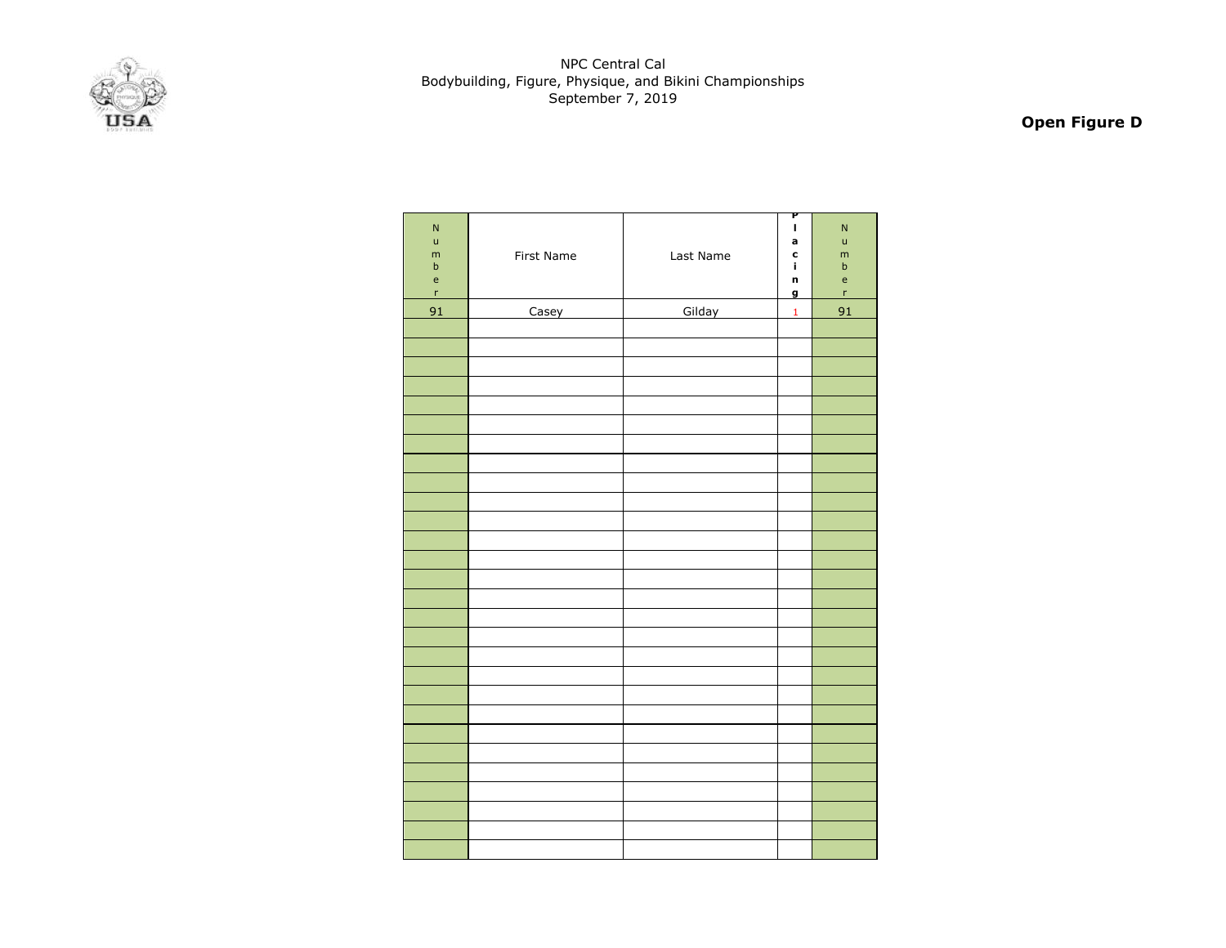

# **Open Figure D**

| $\mathsf{N}$<br>$\mathsf{u}%$<br>${\sf m}$<br>$\sf b$<br>$\mathsf{e}% _{0}\left( \mathsf{e}_{0}\right)$<br>$\mathsf{r}$ | First Name | Last Name | P<br>$\mathbf{I}$<br>a<br>c<br>î,<br>n<br>g | N<br>ū<br>m<br>$\mathsf b$<br>$\mathsf{e}$<br>r |
|-------------------------------------------------------------------------------------------------------------------------|------------|-----------|---------------------------------------------|-------------------------------------------------|
| 91                                                                                                                      | Casey      | Gilday    | $\mathbf 1$                                 | 91                                              |
|                                                                                                                         |            |           |                                             |                                                 |
|                                                                                                                         |            |           |                                             |                                                 |
|                                                                                                                         |            |           |                                             |                                                 |
|                                                                                                                         |            |           |                                             |                                                 |
|                                                                                                                         |            |           |                                             |                                                 |
|                                                                                                                         |            |           |                                             |                                                 |
|                                                                                                                         |            |           |                                             |                                                 |
|                                                                                                                         |            |           |                                             |                                                 |
|                                                                                                                         |            |           |                                             |                                                 |
|                                                                                                                         |            |           |                                             |                                                 |
|                                                                                                                         |            |           |                                             |                                                 |
|                                                                                                                         |            |           |                                             |                                                 |
|                                                                                                                         |            |           |                                             |                                                 |
|                                                                                                                         |            |           |                                             |                                                 |
|                                                                                                                         |            |           |                                             |                                                 |
|                                                                                                                         |            |           |                                             |                                                 |
|                                                                                                                         |            |           |                                             |                                                 |
|                                                                                                                         |            |           |                                             |                                                 |
|                                                                                                                         |            |           |                                             |                                                 |
|                                                                                                                         |            |           |                                             |                                                 |
|                                                                                                                         |            |           |                                             |                                                 |
|                                                                                                                         |            |           |                                             |                                                 |
|                                                                                                                         |            |           |                                             |                                                 |
|                                                                                                                         |            |           |                                             |                                                 |
|                                                                                                                         |            |           |                                             |                                                 |
|                                                                                                                         |            |           |                                             |                                                 |
|                                                                                                                         |            |           |                                             |                                                 |
|                                                                                                                         |            |           |                                             |                                                 |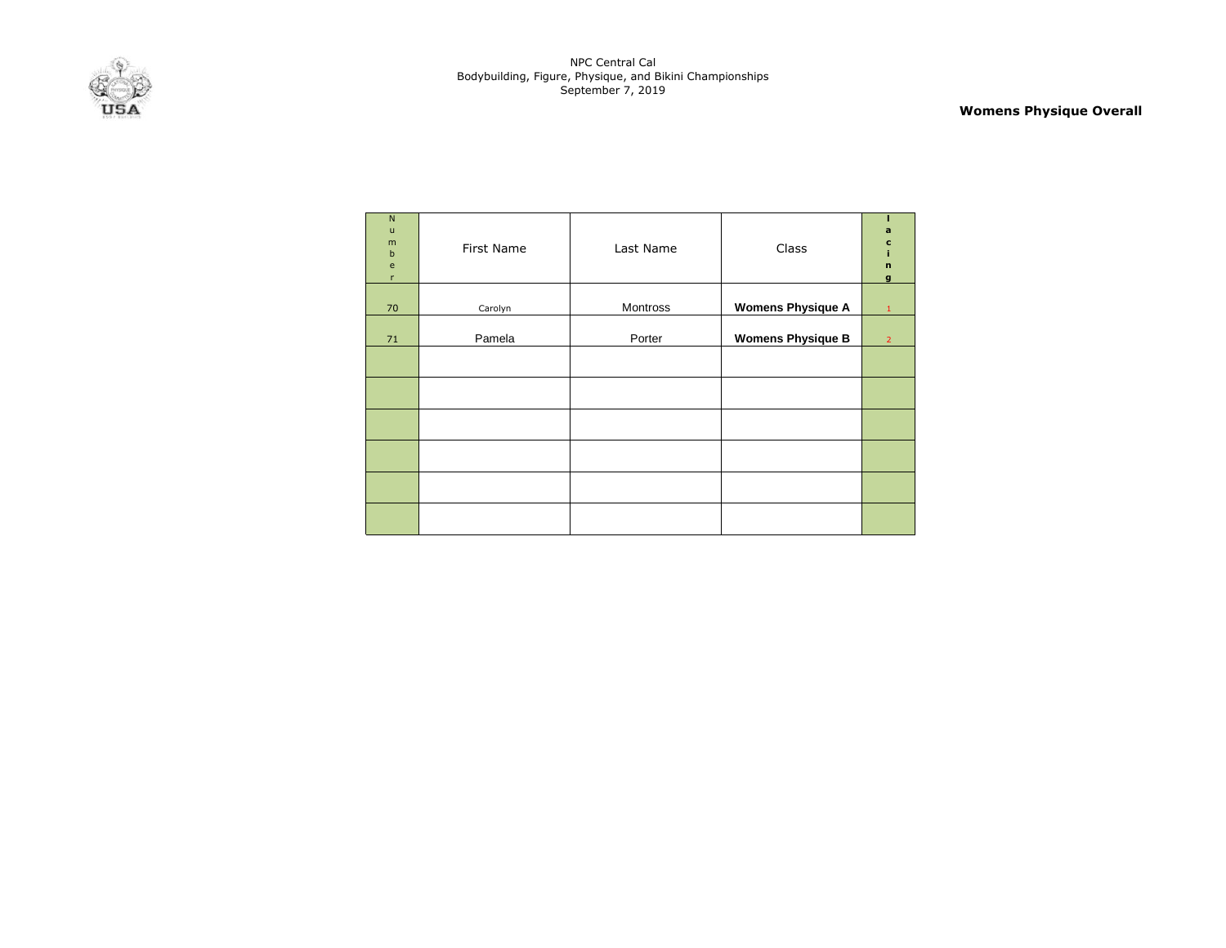

**Womens Physique Overall**

| $\mathsf{N}$<br>$\mathsf{u}$<br>m<br>$\mathsf b$<br>$\mathbf{e}$<br>r | First Name | Last Name | Class                    | a<br>c<br>ĩ.<br>$\mathbf{n}$<br>$\mathbf{g}$ |
|-----------------------------------------------------------------------|------------|-----------|--------------------------|----------------------------------------------|
| 70                                                                    | Carolyn    | Montross  | <b>Womens Physique A</b> | $\mathbf{1}$                                 |
| 71                                                                    | Pamela     | Porter    | <b>Womens Physique B</b> | $\overline{2}$                               |
|                                                                       |            |           |                          |                                              |
|                                                                       |            |           |                          |                                              |
|                                                                       |            |           |                          |                                              |
|                                                                       |            |           |                          |                                              |
|                                                                       |            |           |                          |                                              |
|                                                                       |            |           |                          |                                              |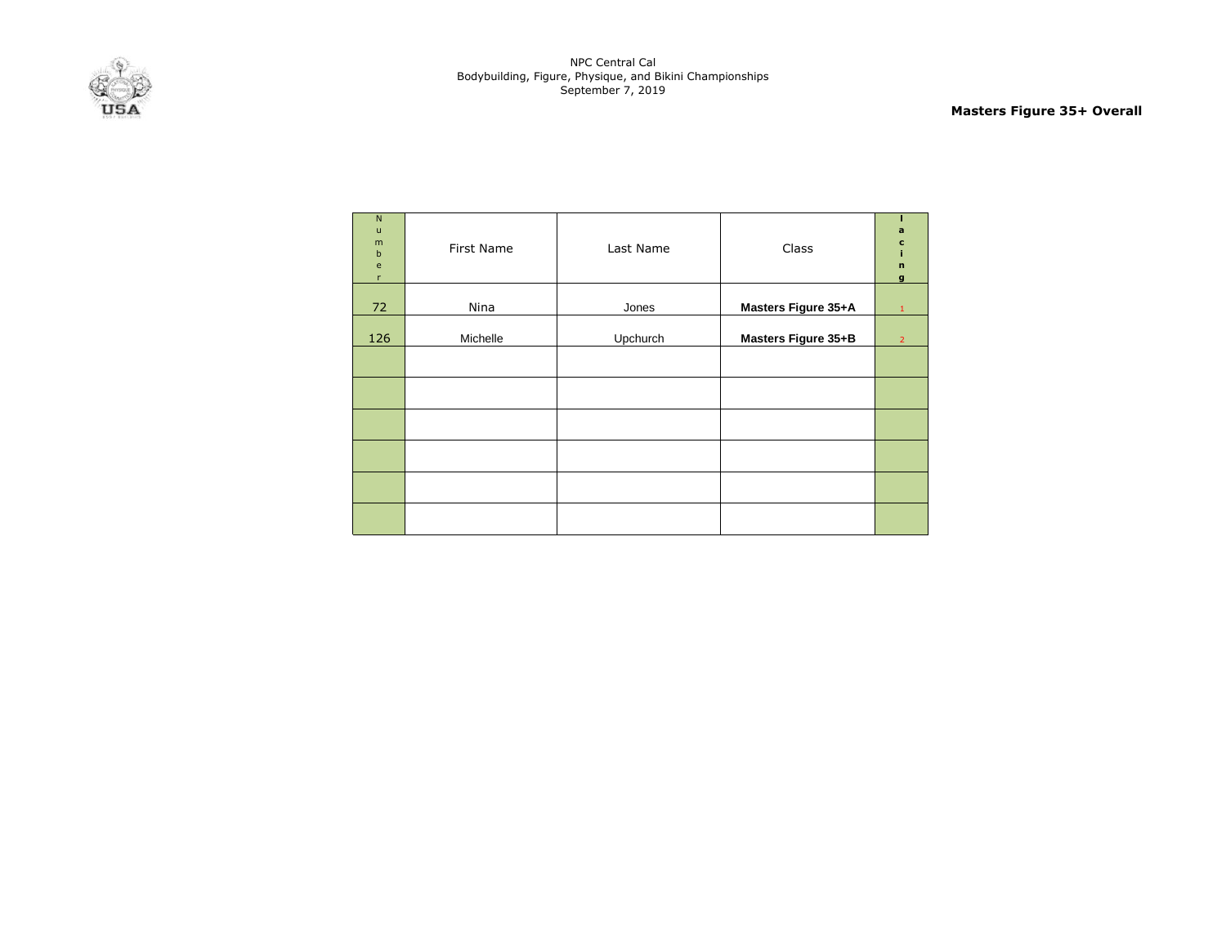

**Masters Figure 35+ Overall**

| N<br>$\mathsf{u}$<br>m<br>$\mathbf b$<br>e<br>$\mathsf{r}$ | First Name | Last Name | Class               | a<br>c<br>$\mathbf n$<br>g |
|------------------------------------------------------------|------------|-----------|---------------------|----------------------------|
| 72                                                         | Nina       | Jones     | Masters Figure 35+A | 1                          |
| 126                                                        | Michelle   | Upchurch  | Masters Figure 35+B | $\overline{2}$             |
|                                                            |            |           |                     |                            |
|                                                            |            |           |                     |                            |
|                                                            |            |           |                     |                            |
|                                                            |            |           |                     |                            |
|                                                            |            |           |                     |                            |
|                                                            |            |           |                     |                            |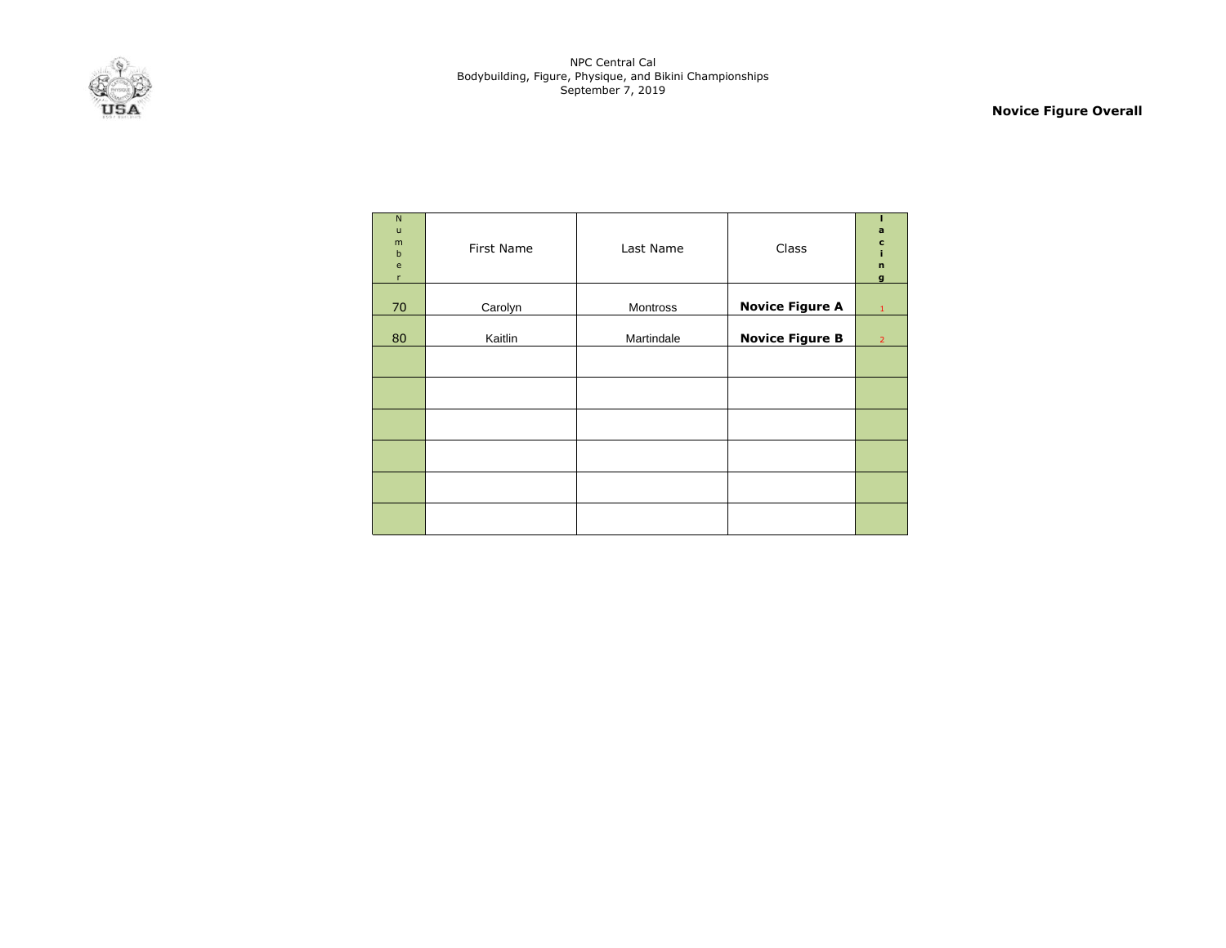

**Novice Figure Overall**

| $\mathsf{N}$<br>$\mathsf{u}$<br>m<br>$\sf b$<br>$\mathbf{e}% _{t}\left( t\right)$<br>$\mathsf{r}$ | First Name | Last Name  | Class                  | a<br>c<br>i<br>$\mathbf{r}$<br>$\mathbf{g}$ |
|---------------------------------------------------------------------------------------------------|------------|------------|------------------------|---------------------------------------------|
| 70                                                                                                | Carolyn    | Montross   | <b>Novice Figure A</b> | 1                                           |
| 80                                                                                                | Kaitlin    | Martindale | <b>Novice Figure B</b> | $\overline{2}$                              |
|                                                                                                   |            |            |                        |                                             |
|                                                                                                   |            |            |                        |                                             |
|                                                                                                   |            |            |                        |                                             |
|                                                                                                   |            |            |                        |                                             |
|                                                                                                   |            |            |                        |                                             |
|                                                                                                   |            |            |                        |                                             |